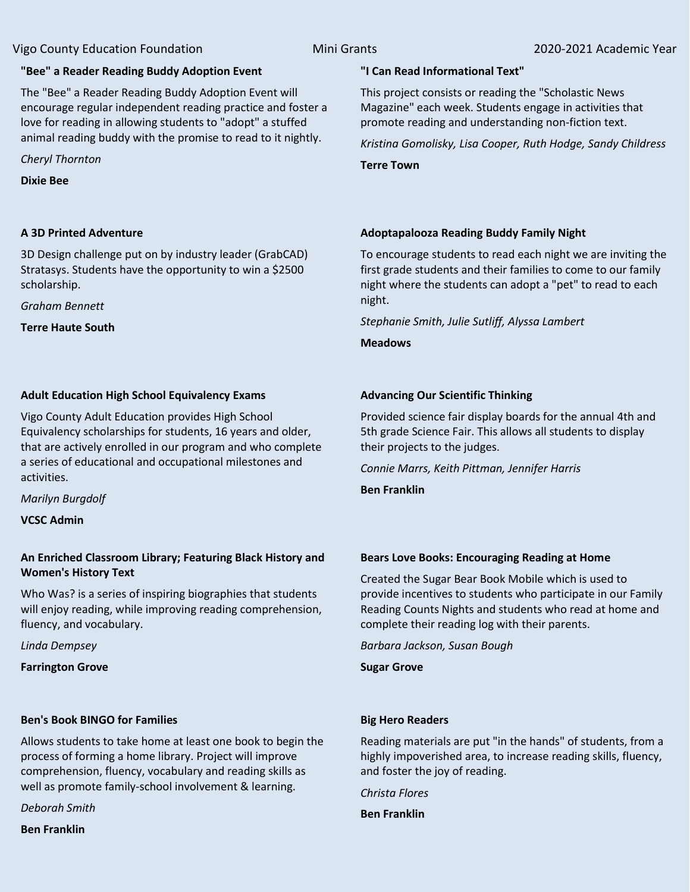## **"Bee" a Reader Reading Buddy Adoption Event**

The "Bee" a Reader Reading Buddy Adoption Event will encourage regular independent reading practice and foster a love for reading in allowing students to "adopt" a stuffed animal reading buddy with the promise to read to it nightly.

*Cheryl Thornton*

**Dixie Bee**

# **A 3D Printed Adventure**

3D Design challenge put on by industry leader (GrabCAD) Stratasys. Students have the opportunity to win a \$2500 scholarship.

*Graham Bennett*

**Terre Haute South**

# **Adult Education High School Equivalency Exams**

Vigo County Adult Education provides High School Equivalency scholarships for students, 16 years and older, that are actively enrolled in our program and who complete a series of educational and occupational milestones and activities.

*Marilyn Burgdolf*

**VCSC Admin**

# **An Enriched Classroom Library; Featuring Black History and Women's History Text**

Who Was? is a series of inspiring biographies that students will enjoy reading, while improving reading comprehension, fluency, and vocabulary.

*Linda Dempsey*

**Farrington Grove**

# **Ben's Book BINGO for Families**

Allows students to take home at least one book to begin the process of forming a home library. Project will improve comprehension, fluency, vocabulary and reading skills as well as promote family-school involvement & learning.

*Deborah Smith*

**Ben Franklin**

# **"I Can Read Informational Text"**

This project consists or reading the "Scholastic News Magazine" each week. Students engage in activities that promote reading and understanding non-fiction text.

*Kristina Gomolisky, Lisa Cooper, Ruth Hodge, Sandy Childress*

**Terre Town**

# **Adoptapalooza Reading Buddy Family Night**

To encourage students to read each night we are inviting the first grade students and their families to come to our family night where the students can adopt a "pet" to read to each night.

*Stephanie Smith, Julie Sutliff, Alyssa Lambert*

**Meadows**

# **Advancing Our Scientific Thinking**

Provided science fair display boards for the annual 4th and 5th grade Science Fair. This allows all students to display their projects to the judges.

*Connie Marrs, Keith Pittman, Jennifer Harris*

**Ben Franklin**

### **Bears Love Books: Encouraging Reading at Home**

Created the Sugar Bear Book Mobile which is used to provide incentives to students who participate in our Family Reading Counts Nights and students who read at home and complete their reading log with their parents.

*Barbara Jackson, Susan Bough*

**Sugar Grove**

# **Big Hero Readers**

Reading materials are put "in the hands" of students, from a highly impoverished area, to increase reading skills, fluency, and foster the joy of reading.

*Christa Flores*

**Ben Franklin**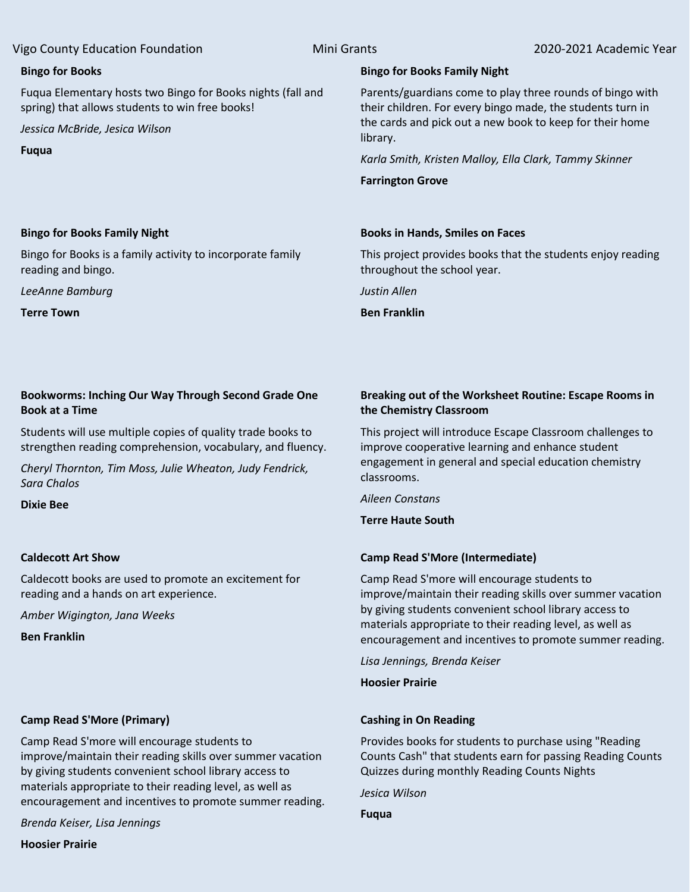#### **Bingo for Books**

Fuqua Elementary hosts two Bingo for Books nights (fall and spring) that allows students to win free books!

*Jessica McBride, Jesica Wilson*

**Fuqua**

# **Bingo for Books Family Night**

Parents/guardians come to play three rounds of bingo with their children. For every bingo made, the students turn in the cards and pick out a new book to keep for their home library.

*Karla Smith, Kristen Malloy, Ella Clark, Tammy Skinner*

**Farrington Grove**

### **Books in Hands, Smiles on Faces**

This project provides books that the students enjoy reading throughout the school year.

*Justin Allen*

**Ben Franklin**

### **Bingo for Books Family Night**

Bingo for Books is a family activity to incorporate family reading and bingo.

*LeeAnne Bamburg*

**Terre Town**

# **Bookworms: Inching Our Way Through Second Grade One Book at a Time**

Students will use multiple copies of quality trade books to strengthen reading comprehension, vocabulary, and fluency.

*Cheryl Thornton, Tim Moss, Julie Wheaton, Judy Fendrick, Sara Chalos*

**Dixie Bee**

### **Caldecott Art Show**

Caldecott books are used to promote an excitement for reading and a hands on art experience.

*Amber Wigington, Jana Weeks*

**Ben Franklin**

### **Camp Read S'More (Primary)**

Camp Read S'more will encourage students to improve/maintain their reading skills over summer vacation by giving students convenient school library access to materials appropriate to their reading level, as well as encouragement and incentives to promote summer reading.

*Brenda Keiser, Lisa Jennings*

**Hoosier Prairie**

# **Breaking out of the Worksheet Routine: Escape Rooms in the Chemistry Classroom**

This project will introduce Escape Classroom challenges to improve cooperative learning and enhance student engagement in general and special education chemistry classrooms.

*Aileen Constans*

**Terre Haute South**

### **Camp Read S'More (Intermediate)**

Camp Read S'more will encourage students to improve/maintain their reading skills over summer vacation by giving students convenient school library access to materials appropriate to their reading level, as well as encouragement and incentives to promote summer reading.

*Lisa Jennings, Brenda Keiser*

### **Hoosier Prairie**

### **Cashing in On Reading**

Provides books for students to purchase using "Reading Counts Cash" that students earn for passing Reading Counts Quizzes during monthly Reading Counts Nights

*Jesica Wilson*

**Fuqua**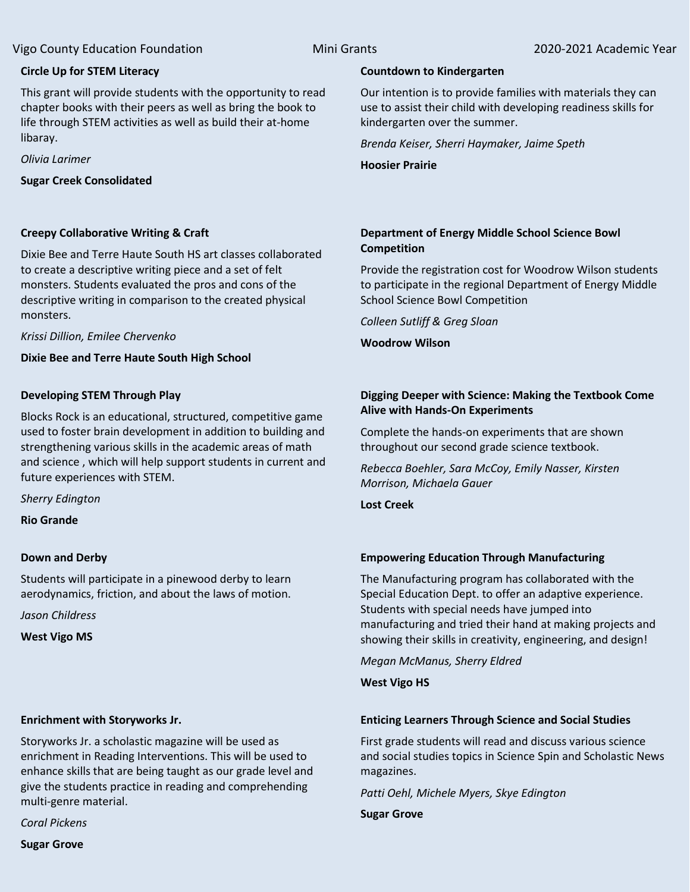# **Circle Up for STEM Literacy**

This grant will provide students with the opportunity to read chapter books with their peers as well as bring the book to life through STEM activities as well as build their at-home libaray.

*Olivia Larimer*

**Sugar Creek Consolidated**

# **Creepy Collaborative Writing & Craft**

Dixie Bee and Terre Haute South HS art classes collaborated to create a descriptive writing piece and a set of felt monsters. Students evaluated the pros and cons of the descriptive writing in comparison to the created physical monsters.

*Krissi Dillion, Emilee Chervenko*

**Dixie Bee and Terre Haute South High School**

# **Developing STEM Through Play**

Blocks Rock is an educational, structured, competitive game used to foster brain development in addition to building and strengthening various skills in the academic areas of math and science , which will help support students in current and future experiences with STEM.

*Sherry Edington*

**Rio Grande**

### **Down and Derby**

Students will participate in a pinewood derby to learn aerodynamics, friction, and about the laws of motion.

*Jason Childress*

**West Vigo MS**

### **Enrichment with Storyworks Jr.**

Storyworks Jr. a scholastic magazine will be used as enrichment in Reading Interventions. This will be used to enhance skills that are being taught as our grade level and give the students practice in reading and comprehending multi-genre material.

*Coral Pickens*

**Sugar Grove**

### **Countdown to Kindergarten**

Our intention is to provide families with materials they can use to assist their child with developing readiness skills for kindergarten over the summer.

*Brenda Keiser, Sherri Haymaker, Jaime Speth*

**Hoosier Prairie**

# **Department of Energy Middle School Science Bowl Competition**

Provide the registration cost for Woodrow Wilson students to participate in the regional Department of Energy Middle School Science Bowl Competition

*Colleen Sutliff & Greg Sloan*

**Woodrow Wilson**

# **Digging Deeper with Science: Making the Textbook Come Alive with Hands-On Experiments**

Complete the hands-on experiments that are shown throughout our second grade science textbook.

*Rebecca Boehler, Sara McCoy, Emily Nasser, Kirsten Morrison, Michaela Gauer*

**Lost Creek**

# **Empowering Education Through Manufacturing**

The Manufacturing program has collaborated with the Special Education Dept. to offer an adaptive experience. Students with special needs have jumped into manufacturing and tried their hand at making projects and showing their skills in creativity, engineering, and design!

*Megan McManus, Sherry Eldred*

# **West Vigo HS**

# **Enticing Learners Through Science and Social Studies**

First grade students will read and discuss various science and social studies topics in Science Spin and Scholastic News magazines.

*Patti Oehl, Michele Myers, Skye Edington*

**Sugar Grove**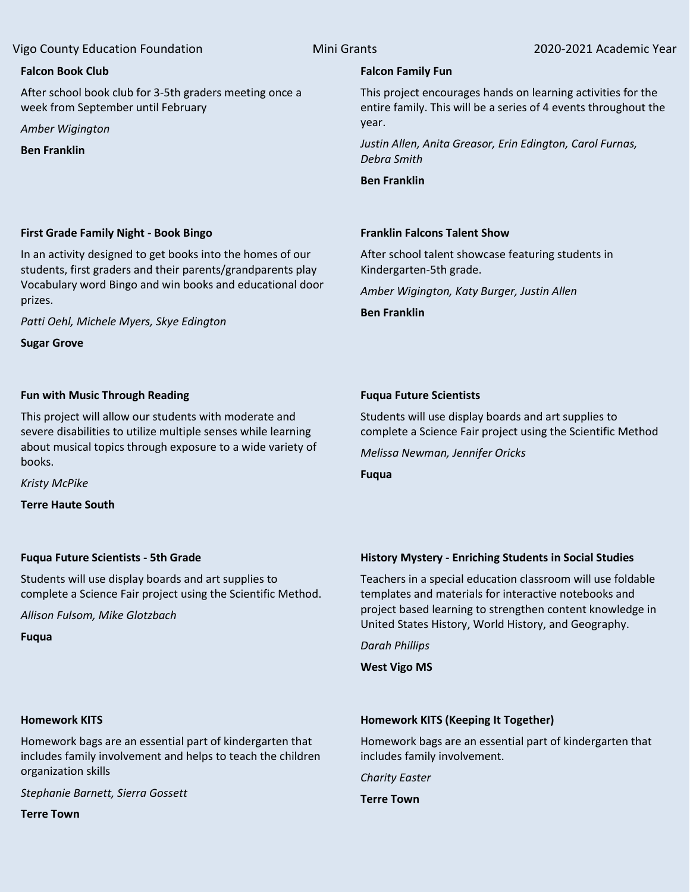## **Falcon Book Club**

After school book club for 3-5th graders meeting once a week from September until February

*Amber Wigington*

**Ben Franklin**

# **Falcon Family Fun**

This project encourages hands on learning activities for the entire family. This will be a series of 4 events throughout the year.

*Justin Allen, Anita Greasor, Erin Edington, Carol Furnas, Debra Smith*

**Ben Franklin**

# **Franklin Falcons Talent Show**

**Fuqua Future Scientists**

*Melissa Newman, Jennifer Oricks*

After school talent showcase featuring students in Kindergarten-5th grade.

Students will use display boards and art supplies to

complete a Science Fair project using the Scientific Method

*Amber Wigington, Katy Burger, Justin Allen*

**Ben Franklin**

**Fuqua**

# **First Grade Family Night - Book Bingo**

In an activity designed to get books into the homes of our students, first graders and their parents/grandparents play Vocabulary word Bingo and win books and educational door prizes.

*Patti Oehl, Michele Myers, Skye Edington*

**Sugar Grove**

# **Fun with Music Through Reading**

This project will allow our students with moderate and severe disabilities to utilize multiple senses while learning about musical topics through exposure to a wide variety of books.

*Kristy McPike*

**Terre Haute South**

### **Fuqua Future Scientists - 5th Grade**

Students will use display boards and art supplies to complete a Science Fair project using the Scientific Method.

*Allison Fulsom, Mike Glotzbach*

**Fuqua**

# **History Mystery - Enriching Students in Social Studies**

Teachers in a special education classroom will use foldable templates and materials for interactive notebooks and project based learning to strengthen content knowledge in United States History, World History, and Geography.

*Darah Phillips*

**West Vigo MS**

### **Homework KITS**

Homework bags are an essential part of kindergarten that includes family involvement and helps to teach the children organization skills

*Stephanie Barnett, Sierra Gossett*

**Terre Town**

# **Homework KITS (Keeping It Together)**

Homework bags are an essential part of kindergarten that includes family involvement.

*Charity Easter*

**Terre Town**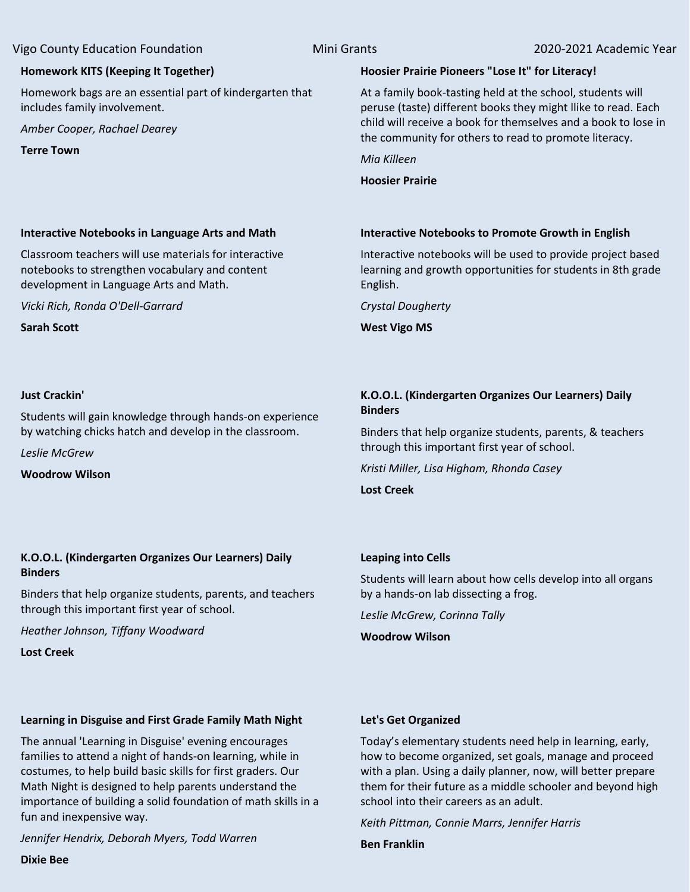# **Homework KITS (Keeping It Together)**

Homework bags are an essential part of kindergarten that includes family involvement.

**Interactive Notebooks in Language Arts and Math** Classroom teachers will use materials for interactive notebooks to strengthen vocabulary and content

development in Language Arts and Math.

*Vicki Rich, Ronda O'Dell-Garrard*

*Amber Cooper, Rachael Dearey*

**Terre Town**

# **Hoosier Prairie Pioneers "Lose It" for Literacy!**

At a family book-tasting held at the school, students will peruse (taste) different books they might llike to read. Each child will receive a book for themselves and a book to lose in the community for others to read to promote literacy.

*Mia Killeen*

**Hoosier Prairie**

# **Interactive Notebooks to Promote Growth in English**

Interactive notebooks will be used to provide project based learning and growth opportunities for students in 8th grade English.

*Crystal Dougherty*

**West Vigo MS**

# **Just Crackin'**

**Sarah Scott**

Students will gain knowledge through hands-on experience by watching chicks hatch and develop in the classroom.

*Leslie McGrew*

**Woodrow Wilson**

# **K.O.O.L. (Kindergarten Organizes Our Learners) Daily Binders**

Binders that help organize students, parents, & teachers through this important first year of school.

*Kristi Miller, Lisa Higham, Rhonda Casey*

**Lost Creek**

# **K.O.O.L. (Kindergarten Organizes Our Learners) Daily Binders**

Binders that help organize students, parents, and teachers through this important first year of school.

*Heather Johnson, Tiffany Woodward*

**Lost Creek**

### **Leaping into Cells**

Students will learn about how cells develop into all organs by a hands-on lab dissecting a frog.

*Leslie McGrew, Corinna Tally*

**Woodrow Wilson**

### **Learning in Disguise and First Grade Family Math Night**

The annual 'Learning in Disguise' evening encourages families to attend a night of hands-on learning, while in costumes, to help build basic skills for first graders. Our Math Night is designed to help parents understand the importance of building a solid foundation of math skills in a fun and inexpensive way.

*Jennifer Hendrix, Deborah Myers, Todd Warren*

### **Let's Get Organized**

Today's elementary students need help in learning, early, how to become organized, set goals, manage and proceed with a plan. Using a daily planner, now, will better prepare them for their future as a middle schooler and beyond high school into their careers as an adult.

*Keith Pittman, Connie Marrs, Jennifer Harris*

**Ben Franklin**

**Dixie Bee**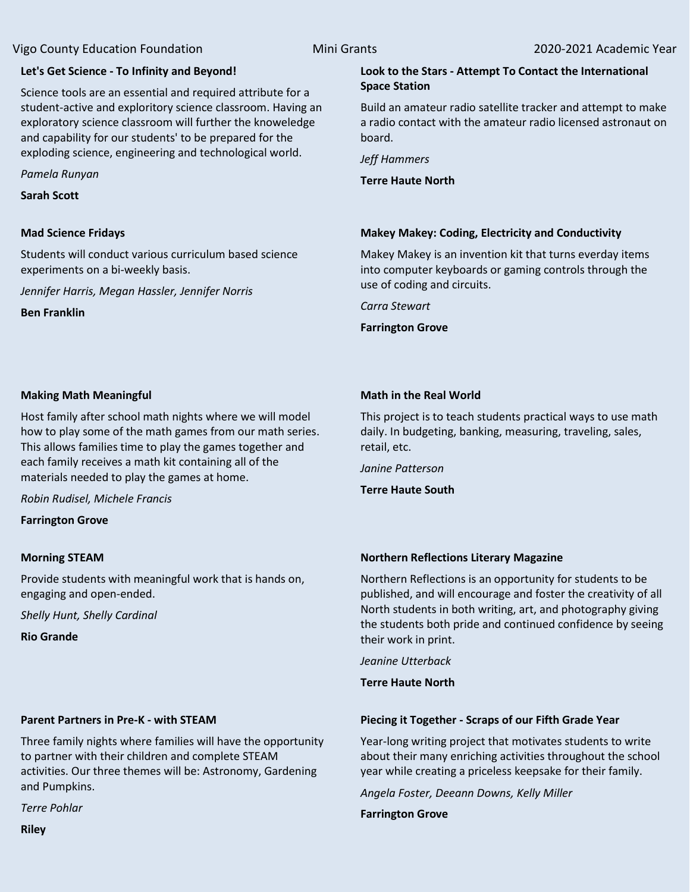### **Let's Get Science - To Infinity and Beyond!**

Science tools are an essential and required attribute for a student-active and exploritory science classroom. Having an exploratory science classroom will further the knoweledge and capability for our students' to be prepared for the exploding science, engineering and technological world.

*Pamela Runyan*

**Sarah Scott**

### **Mad Science Fridays**

Students will conduct various curriculum based science experiments on a bi-weekly basis.

*Jennifer Harris, Megan Hassler, Jennifer Norris*

**Ben Franklin**

#### **Look to the Stars - Attempt To Contact the International Space Station**

Build an amateur radio satellite tracker and attempt to make a radio contact with the amateur radio licensed astronaut on board.

*Jeff Hammers*

**Terre Haute North**

### **Makey Makey: Coding, Electricity and Conductivity**

Makey Makey is an invention kit that turns everday items into computer keyboards or gaming controls through the use of coding and circuits.

*Carra Stewart*

**Farrington Grove**

#### **Making Math Meaningful**

Host family after school math nights where we will model how to play some of the math games from our math series. This allows families time to play the games together and each family receives a math kit containing all of the materials needed to play the games at home.

*Robin Rudisel, Michele Francis*

**Farrington Grove**

### **Morning STEAM**

Provide students with meaningful work that is hands on, engaging and open-ended.

*Shelly Hunt, Shelly Cardinal*

**Rio Grande**

## **Parent Partners in Pre-K - with STEAM**

Three family nights where families will have the opportunity to partner with their children and complete STEAM activities. Our three themes will be: Astronomy, Gardening and Pumpkins.

*Terre Pohlar*

**Riley**

# **Math in the Real World**

This project is to teach students practical ways to use math daily. In budgeting, banking, measuring, traveling, sales, retail, etc.

*Janine Patterson*

**Terre Haute South**

#### **Northern Reflections Literary Magazine**

Northern Reflections is an opportunity for students to be published, and will encourage and foster the creativity of all North students in both writing, art, and photography giving the students both pride and continued confidence by seeing their work in print.

*Jeanine Utterback*

**Terre Haute North**

### **Piecing it Together - Scraps of our Fifth Grade Year**

Year-long writing project that motivates students to write about their many enriching activities throughout the school year while creating a priceless keepsake for their family.

*Angela Foster, Deeann Downs, Kelly Miller*

**Farrington Grove**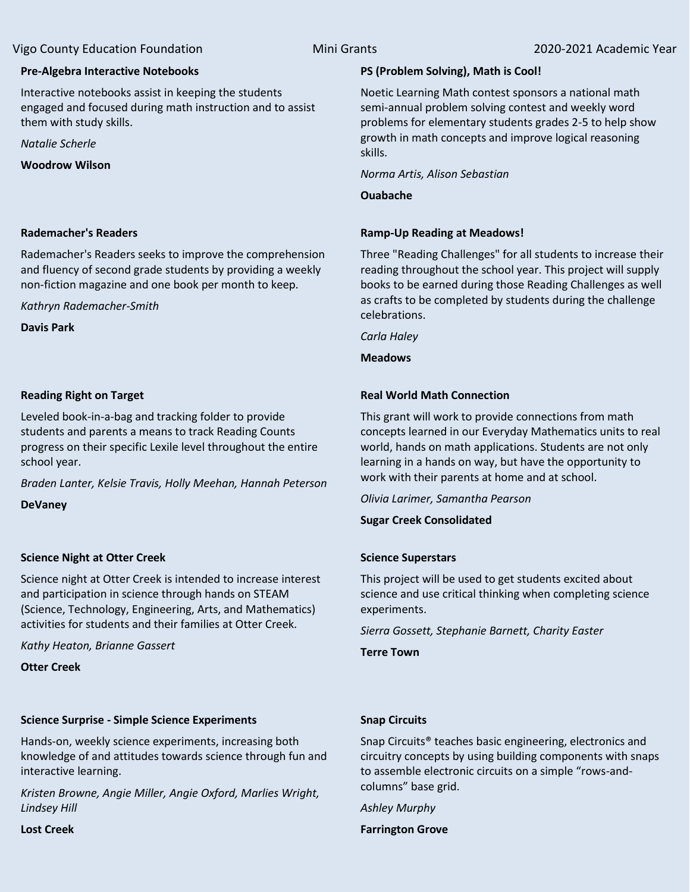# **Pre-Algebra Interactive Notebooks**

Interactive notebooks assist in keeping the students engaged and focused during math instruction and to assist them with study skills.

*Natalie Scherle*

**Woodrow Wilson**

# **Rademacher's Readers**

Rademacher's Readers seeks to improve the comprehension and fluency of second grade students by providing a weekly non-fiction magazine and one book per month to keep.

*Kathryn Rademacher-Smith*

**Davis Park**

# **Reading Right on Target**

Leveled book-in-a-bag and tracking folder to provide students and parents a means to track Reading Counts progress on their specific Lexile level throughout the entire school year.

*Braden Lanter, Kelsie Travis, Holly Meehan, Hannah Peterson*

**DeVaney**

# **Science Night at Otter Creek**

Science night at Otter Creek is intended to increase interest and participation in science through hands on STEAM (Science, Technology, Engineering, Arts, and Mathematics) activities for students and their families at Otter Creek.

*Kathy Heaton, Brianne Gassert*

**Otter Creek**

# **Science Surprise - Simple Science Experiments**

Hands-on, weekly science experiments, increasing both knowledge of and attitudes towards science through fun and interactive learning.

*Kristen Browne, Angie Miller, Angie Oxford, Marlies Wright, Lindsey Hill*

**Lost Creek**

# **PS (Problem Solving), Math is Cool!**

Noetic Learning Math contest sponsors a national math semi-annual problem solving contest and weekly word problems for elementary students grades 2-5 to help show growth in math concepts and improve logical reasoning skills.

*Norma Artis, Alison Sebastian*

**Ouabache**

# **Ramp-Up Reading at Meadows!**

Three "Reading Challenges" for all students to increase their reading throughout the school year. This project will supply books to be earned during those Reading Challenges as well as crafts to be completed by students during the challenge celebrations.

*Carla Haley*

**Meadows**

# **Real World Math Connection**

This grant will work to provide connections from math concepts learned in our Everyday Mathematics units to real world, hands on math applications. Students are not only learning in a hands on way, but have the opportunity to work with their parents at home and at school.

*Olivia Larimer, Samantha Pearson*

**Sugar Creek Consolidated**

# **Science Superstars**

This project will be used to get students excited about science and use critical thinking when completing science experiments.

*Sierra Gossett, Stephanie Barnett, Charity Easter*

**Terre Town**

# **Snap Circuits**

Snap Circuits® teaches basic engineering, electronics and circuitry concepts by using building components with snaps to assemble electronic circuits on a simple "rows-andcolumns" base grid.

*Ashley Murphy*

**Farrington Grove**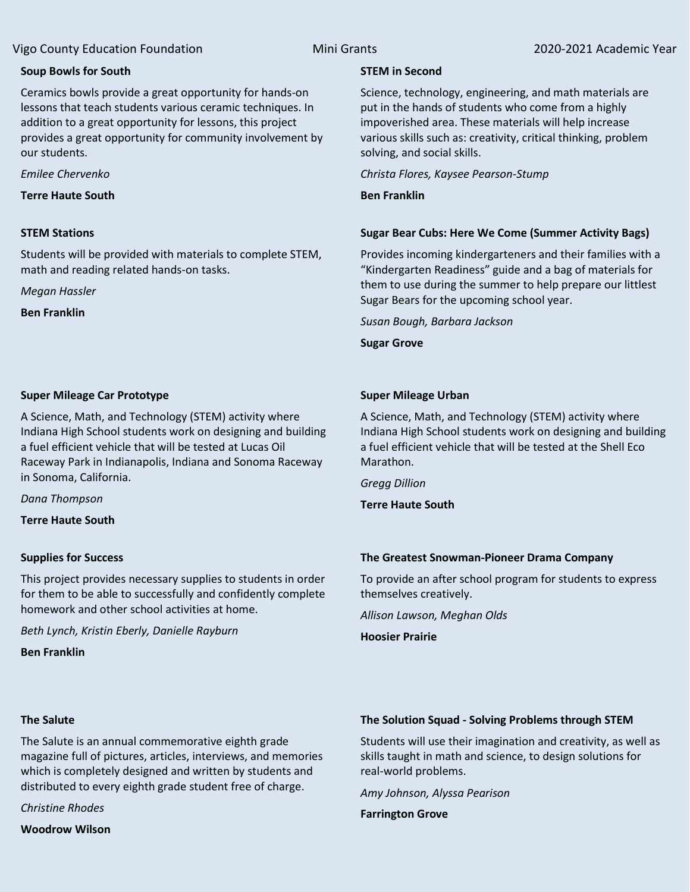### **Soup Bowls for South**

Ceramics bowls provide a great opportunity for hands-on lessons that teach students various ceramic techniques. In addition to a great opportunity for lessons, this project provides a great opportunity for community involvement by our students.

*Emilee Chervenko*

**Terre Haute South**

#### **STEM Stations**

Students will be provided with materials to complete STEM, math and reading related hands-on tasks.

*Megan Hassler*

**Ben Franklin**

### **Super Mileage Car Prototype**

A Science, Math, and Technology (STEM) activity where Indiana High School students work on designing and building a fuel efficient vehicle that will be tested at Lucas Oil Raceway Park in Indianapolis, Indiana and Sonoma Raceway in Sonoma, California.

*Dana Thompson*

**Terre Haute South**

### **Supplies for Success**

This project provides necessary supplies to students in order for them to be able to successfully and confidently complete homework and other school activities at home.

*Beth Lynch, Kristin Eberly, Danielle Rayburn*

**Ben Franklin**

# **The Salute**

The Salute is an annual commemorative eighth grade magazine full of pictures, articles, interviews, and memories which is completely designed and written by students and distributed to every eighth grade student free of charge.

*Christine Rhodes*

**Woodrow Wilson**

#### **STEM in Second**

Science, technology, engineering, and math materials are put in the hands of students who come from a highly impoverished area. These materials will help increase various skills such as: creativity, critical thinking, problem solving, and social skills.

*Christa Flores, Kaysee Pearson-Stump*

**Ben Franklin**

### **Sugar Bear Cubs: Here We Come (Summer Activity Bags)**

Provides incoming kindergarteners and their families with a "Kindergarten Readiness" guide and a bag of materials for them to use during the summer to help prepare our littlest Sugar Bears for the upcoming school year.

*Susan Bough, Barbara Jackson*

**Sugar Grove**

#### **Super Mileage Urban**

A Science, Math, and Technology (STEM) activity where Indiana High School students work on designing and building a fuel efficient vehicle that will be tested at the Shell Eco Marathon.

*Gregg Dillion*

**Terre Haute South**

### **The Greatest Snowman-Pioneer Drama Company**

To provide an after school program for students to express themselves creatively.

*Allison Lawson, Meghan Olds*

**Hoosier Prairie**

# **The Solution Squad - Solving Problems through STEM**

Students will use their imagination and creativity, as well as skills taught in math and science, to design solutions for real-world problems.

*Amy Johnson, Alyssa Pearison*

**Farrington Grove**